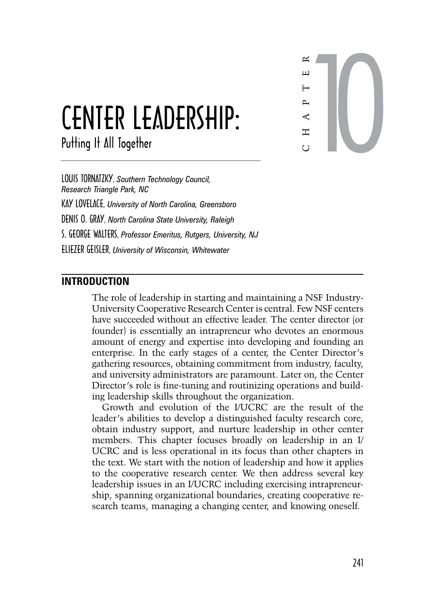

# Center Leadership:

Putting It All Together

Louis Tornatzky, *Southern Technology Council, Research Triangle Park, NC* Kay Lovelace, *University of North Carolina, Greensboro* Denis O. Gray, *North Carolina State University, Raleigh* S. George Walters, *Professor Emeritus, Rutgers, University, NJ* Eliezer Geisler, *University of Wisconsin, Whitewater*

# **Introduction**

The role of leadership in starting and maintaining a NSF Industry-University Cooperative Research Center is central. Few NSF centers have succeeded without an effective leader. The center director (or founder) is essentially an intrapreneur who devotes an enormous amount of energy and expertise into developing and founding an enterprise. In the early stages of a center, the Center Director's gathering resources, obtaining commitment from industry, faculty, and university administrators are paramount. Later on, the Center Director's role is fine-tuning and routinizing operations and building leadership skills throughout the organization.

Growth and evolution of the I/UCRC are the result of the leader's abilities to develop a distinguished faculty research core, obtain industry support, and nurture leadership in other center members. This chapter focuses broadly on leadership in an I/ UCRC and is less operational in its focus than other chapters in the text. We start with the notion of leadership and how it applies to the cooperative research center. We then address several key leadership issues in an I/UCRC including exercising intrapreneurship, spanning organizational boundaries, creating cooperative research teams, managing a changing center, and knowing oneself.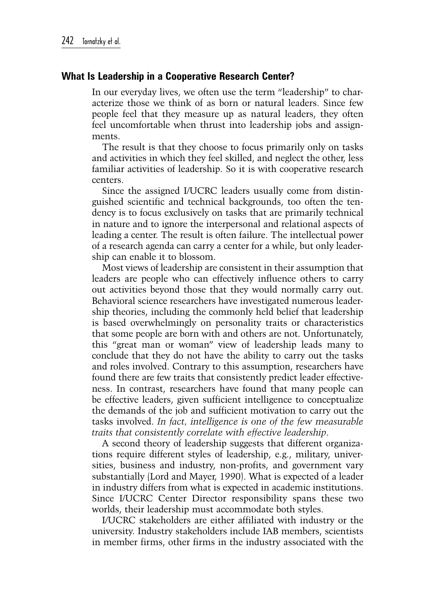## **What Is Leadership in a Cooperative Research Center?**

In our everyday lives, we often use the term "leadership" to characterize those we think of as born or natural leaders. Since few people feel that they measure up as natural leaders, they often feel uncomfortable when thrust into leadership jobs and assignments.

The result is that they choose to focus primarily only on tasks and activities in which they feel skilled, and neglect the other, less familiar activities of leadership. So it is with cooperative research centers.

Since the assigned I/UCRC leaders usually come from distinguished scientific and technical backgrounds, too often the tendency is to focus exclusively on tasks that are primarily technical in nature and to ignore the interpersonal and relational aspects of leading a center. The result is often failure. The intellectual power of a research agenda can carry a center for a while, but only leadership can enable it to blossom.

Most views of leadership are consistent in their assumption that leaders are people who can effectively influence others to carry out activities beyond those that they would normally carry out. Behavioral science researchers have investigated numerous leadership theories, including the commonly held belief that leadership is based overwhelmingly on personality traits or characteristics that some people are born with and others are not. Unfortunately, this "great man or woman" view of leadership leads many to conclude that they do not have the ability to carry out the tasks and roles involved. Contrary to this assumption, researchers have found there are few traits that consistently predict leader effectiveness. In contrast, researchers have found that many people can be effective leaders, given sufficient intelligence to conceptualize the demands of the job and sufficient motivation to carry out the tasks involved. *In fact, intelligence is one of the few measurable traits that consistently correlate with effective leadership*.

A second theory of leadership suggests that different organizations require different styles of leadership, e.g., military, universities, business and industry, non-profits, and government vary substantially (Lord and Mayer, 1990). What is expected of a leader in industry differs from what is expected in academic institutions. Since I/UCRC Center Director responsibility spans these two worlds, their leadership must accommodate both styles.

I/UCRC stakeholders are either affiliated with industry or the university. Industry stakeholders include IAB members, scientists in member firms, other firms in the industry associated with the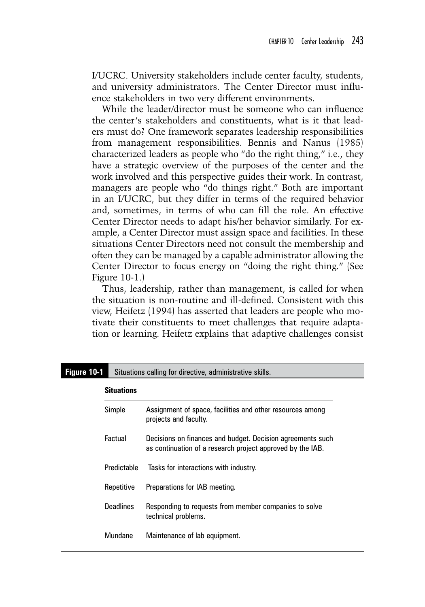I/UCRC. University stakeholders include center faculty, students, and university administrators. The Center Director must influence stakeholders in two very different environments.

While the leader/director must be someone who can influence the center's stakeholders and constituents, what is it that leaders must do? One framework separates leadership responsibilities from management responsibilities. Bennis and Nanus (1985) characterized leaders as people who "do the right thing," i.e., they have a strategic overview of the purposes of the center and the work involved and this perspective guides their work. In contrast, managers are people who "do things right." Both are important in an I/UCRC, but they differ in terms of the required behavior and, sometimes, in terms of who can fill the role. An effective Center Director needs to adapt his/her behavior similarly. For example, a Center Director must assign space and facilities. In these situations Center Directors need not consult the membership and often they can be managed by a capable administrator allowing the Center Director to focus energy on "doing the right thing." (See Figure 10-1.)

Thus, leadership, rather than management, is called for when the situation is non-routine and ill-defined. Consistent with this view, Heifetz (1994) has asserted that leaders are people who motivate their constituents to meet challenges that require adaptation or learning. Heifetz explains that adaptive challenges consist

| Figure 10-1 | Situations calling for directive, administrative skills. |                                                                                                                          |  |
|-------------|----------------------------------------------------------|--------------------------------------------------------------------------------------------------------------------------|--|
|             | <b>Situations</b>                                        |                                                                                                                          |  |
|             | Simple                                                   | Assignment of space, facilities and other resources among<br>projects and faculty.                                       |  |
|             | Factual                                                  | Decisions on finances and budget. Decision agreements such<br>as continuation of a research project approved by the IAB. |  |
|             | Predictable                                              | Tasks for interactions with industry.                                                                                    |  |
|             | Repetitive                                               | Preparations for IAB meeting.                                                                                            |  |
|             | <b>Deadlines</b>                                         | Responding to requests from member companies to solve<br>technical problems.                                             |  |
|             | <b>Mundane</b>                                           | Maintenance of lab equipment.                                                                                            |  |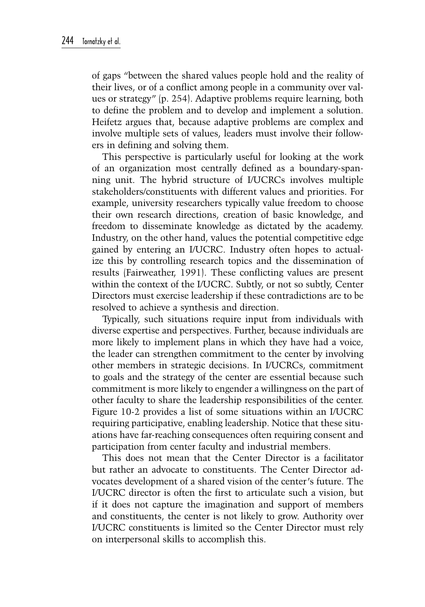of gaps "between the shared values people hold and the reality of their lives, or of a conflict among people in a community over values or strategy" (p. 254). Adaptive problems require learning, both to define the problem and to develop and implement a solution. Heifetz argues that, because adaptive problems are complex and involve multiple sets of values, leaders must involve their followers in defining and solving them.

This perspective is particularly useful for looking at the work of an organization most centrally defined as a boundary-spanning unit. The hybrid structure of I/UCRCs involves multiple stakeholders/constituents with different values and priorities. For example, university researchers typically value freedom to choose their own research directions, creation of basic knowledge, and freedom to disseminate knowledge as dictated by the academy. Industry, on the other hand, values the potential competitive edge gained by entering an I/UCRC. Industry often hopes to actualize this by controlling research topics and the dissemination of results (Fairweather, 1991). These conflicting values are present within the context of the I/UCRC. Subtly, or not so subtly, Center Directors must exercise leadership if these contradictions are to be resolved to achieve a synthesis and direction.

Typically, such situations require input from individuals with diverse expertise and perspectives. Further, because individuals are more likely to implement plans in which they have had a voice, the leader can strengthen commitment to the center by involving other members in strategic decisions. In I/UCRCs, commitment to goals and the strategy of the center are essential because such commitment is more likely to engender a willingness on the part of other faculty to share the leadership responsibilities of the center. Figure 10-2 provides a list of some situations within an I/UCRC requiring participative, enabling leadership. Notice that these situations have far-reaching consequences often requiring consent and participation from center faculty and industrial members.

This does not mean that the Center Director is a facilitator but rather an advocate to constituents. The Center Director advocates development of a shared vision of the center's future. The I/UCRC director is often the first to articulate such a vision, but if it does not capture the imagination and support of members and constituents, the center is not likely to grow. Authority over I/UCRC constituents is limited so the Center Director must rely on interpersonal skills to accomplish this.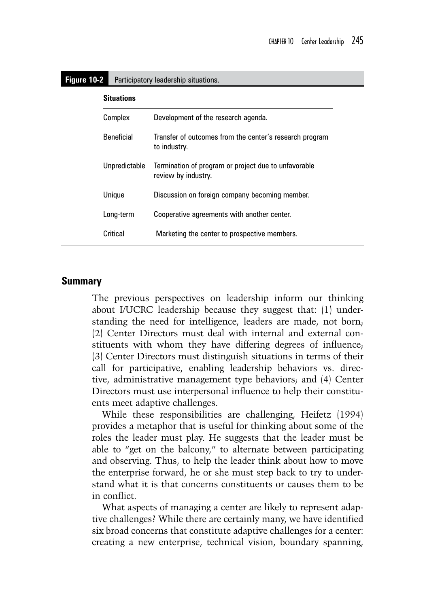| Figure 10-2 |                   | Participatory leadership situations.                                        |  |
|-------------|-------------------|-----------------------------------------------------------------------------|--|
|             | <b>Situations</b> |                                                                             |  |
|             | Complex           | Development of the research agenda.                                         |  |
|             | <b>Beneficial</b> | Transfer of outcomes from the center's research program<br>to industry.     |  |
|             | Unpredictable     | Termination of program or project due to unfavorable<br>review by industry. |  |
|             | Unique            | Discussion on foreign company becoming member.                              |  |
|             | Long-term         | Cooperative agreements with another center.                                 |  |
|             | Critical          | Marketing the center to prospective members.                                |  |

## **Summary**

The previous perspectives on leadership inform our thinking about I/UCRC leadership because they suggest that: (1) understanding the need for intelligence, leaders are made, not born; (2) Center Directors must deal with internal and external constituents with whom they have differing degrees of influence; (3) Center Directors must distinguish situations in terms of their call for participative, enabling leadership behaviors vs. directive, administrative management type behaviors; and (4) Center Directors must use interpersonal influence to help their constituents meet adaptive challenges.

While these responsibilities are challenging, Heifetz (1994) provides a metaphor that is useful for thinking about some of the roles the leader must play. He suggests that the leader must be able to "get on the balcony," to alternate between participating and observing. Thus, to help the leader think about how to move the enterprise forward, he or she must step back to try to understand what it is that concerns constituents or causes them to be in conflict.

What aspects of managing a center are likely to represent adaptive challenges? While there are certainly many, we have identified six broad concerns that constitute adaptive challenges for a center: creating a new enterprise, technical vision, boundary spanning,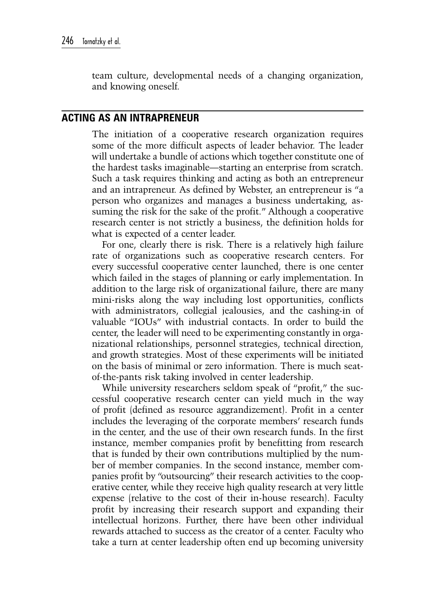team culture, developmental needs of a changing organization, and knowing oneself.

# **Acting As An Intrapreneur**

The initiation of a cooperative research organization requires some of the more difficult aspects of leader behavior. The leader will undertake a bundle of actions which together constitute one of the hardest tasks imaginable—starting an enterprise from scratch. Such a task requires thinking and acting as both an entrepreneur and an intrapreneur. As defined by Webster, an entrepreneur is "a person who organizes and manages a business undertaking, assuming the risk for the sake of the profit." Although a cooperative research center is not strictly a business, the definition holds for what is expected of a center leader.

For one, clearly there is risk. There is a relatively high failure rate of organizations such as cooperative research centers. For every successful cooperative center launched, there is one center which failed in the stages of planning or early implementation. In addition to the large risk of organizational failure, there are many mini-risks along the way including lost opportunities, conflicts with administrators, collegial jealousies, and the cashing-in of valuable "IOUs" with industrial contacts. In order to build the center, the leader will need to be experimenting constantly in organizational relationships, personnel strategies, technical direction, and growth strategies. Most of these experiments will be initiated on the basis of minimal or zero information. There is much seatof-the-pants risk taking involved in center leadership.

While university researchers seldom speak of "profit," the successful cooperative research center can yield much in the way of profit (defined as resource aggrandizement). Profit in a center includes the leveraging of the corporate members' research funds in the center, and the use of their own research funds. In the first instance, member companies profit by benefitting from research that is funded by their own contributions multiplied by the number of member companies. In the second instance, member companies profit by "outsourcing" their research activities to the cooperative center, while they receive high quality research at very little expense (relative to the cost of their in-house research). Faculty profit by increasing their research support and expanding their intellectual horizons. Further, there have been other individual rewards attached to success as the creator of a center. Faculty who take a turn at center leadership often end up becoming university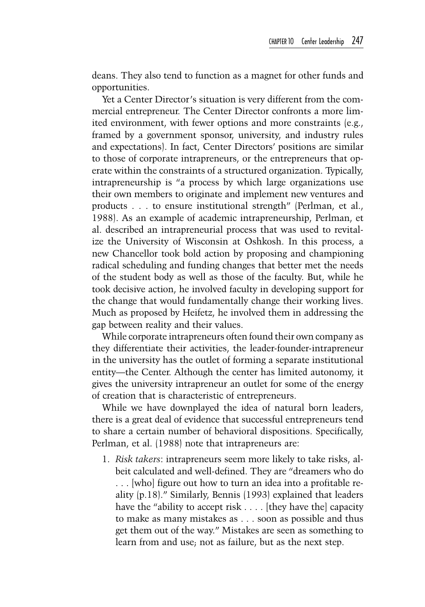deans. They also tend to function as a magnet for other funds and opportunities.

Yet a Center Director's situation is very different from the commercial entrepreneur. The Center Director confronts a more limited environment, with fewer options and more constraints (e.g., framed by a government sponsor, university, and industry rules and expectations). In fact, Center Directors' positions are similar to those of corporate intrapreneurs, or the entrepreneurs that operate within the constraints of a structured organization. Typically, intrapreneurship is "a process by which large organizations use their own members to originate and implement new ventures and products . . . to ensure institutional strength" (Perlman, et al., 1988). As an example of academic intrapreneurship, Perlman, et al. described an intrapreneurial process that was used to revitalize the University of Wisconsin at Oshkosh. In this process, a new Chancellor took bold action by proposing and championing radical scheduling and funding changes that better met the needs of the student body as well as those of the faculty. But, while he took decisive action, he involved faculty in developing support for the change that would fundamentally change their working lives. Much as proposed by Heifetz, he involved them in addressing the gap between reality and their values.

While corporate intrapreneurs often found their own company as they differentiate their activities, the leader-founder-intrapreneur in the university has the outlet of forming a separate institutional entity—the Center. Although the center has limited autonomy, it gives the university intrapreneur an outlet for some of the energy of creation that is characteristic of entrepreneurs.

While we have downplayed the idea of natural born leaders, there is a great deal of evidence that successful entrepreneurs tend to share a certain number of behavioral dispositions. Specifically, Perlman, et al. (1988) note that intrapreneurs are:

1. *Risk takers*: intrapreneurs seem more likely to take risks, albeit calculated and well-defined. They are "dreamers who do . . . [who] figure out how to turn an idea into a profitable reality (p.18)." Similarly, Bennis (1993) explained that leaders have the "ability to accept risk . . . . [they have the] capacity to make as many mistakes as . . . soon as possible and thus get them out of the way." Mistakes are seen as something to learn from and use; not as failure, but as the next step.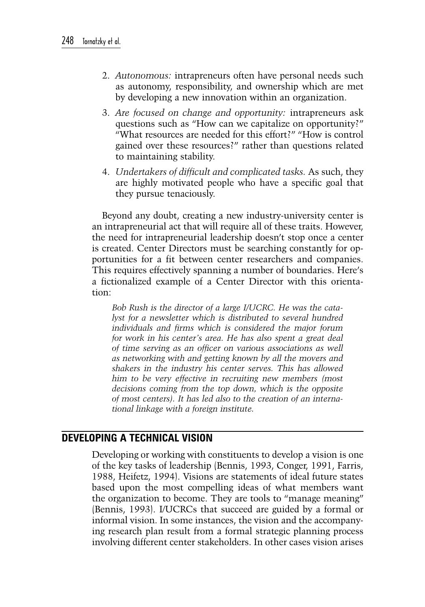- 2. *Autonomous:* intrapreneurs often have personal needs such as autonomy, responsibility, and ownership which are met by developing a new innovation within an organization.
- 3. *Are focused on change and opportunity:* intrapreneurs ask questions such as "How can we capitalize on opportunity?" "What resources are needed for this effort?" "How is control gained over these resources?" rather than questions related to maintaining stability.
- 4. *Undertakers of difficult and complicated tasks.* As such, they are highly motivated people who have a specific goal that they pursue tenaciously.

Beyond any doubt, creating a new industry-university center is an intrapreneurial act that will require all of these traits. However, the need for intrapreneurial leadership doesn't stop once a center is created. Center Directors must be searching constantly for opportunities for a fit between center researchers and companies. This requires effectively spanning a number of boundaries. Here's a fictionalized example of a Center Director with this orientation:

*Bob Rush is the director of a large I/UCRC. He was the catalyst for a newsletter which is distributed to several hundred individuals and firms which is considered the major forum for work in his center's area. He has also spent a great deal of time serving as an officer on various associations as well as networking with and getting known by all the movers and shakers in the industry his center serves. This has allowed him to be very effective in recruiting new members (most decisions coming from the top down, which is the opposite of most centers). It has led also to the creation of an international linkage with a foreign institute.*

## **Developing A Technical Vision**

Developing or working with constituents to develop a vision is one of the key tasks of leadership (Bennis, 1993, Conger, 1991, Farris, 1988, Heifetz, 1994). Visions are statements of ideal future states based upon the most compelling ideas of what members want the organization to become. They are tools to "manage meaning" (Bennis, 1993). I/UCRCs that succeed are guided by a formal or informal vision. In some instances, the vision and the accompanying research plan result from a formal strategic planning process involving different center stakeholders. In other cases vision arises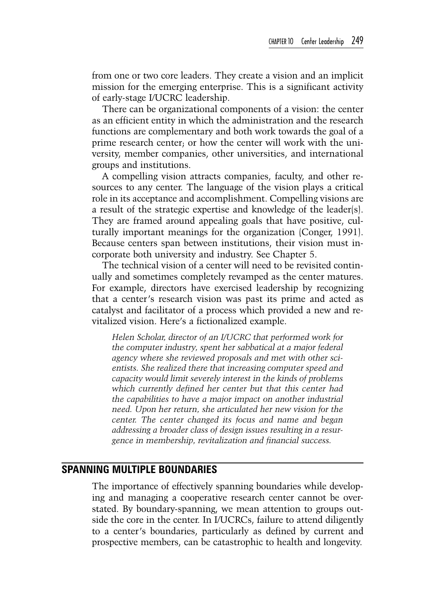from one or two core leaders. They create a vision and an implicit mission for the emerging enterprise. This is a significant activity of early-stage I/UCRC leadership.

There can be organizational components of a vision: the center as an efficient entity in which the administration and the research functions are complementary and both work towards the goal of a prime research center; or how the center will work with the university, member companies, other universities, and international groups and institutions.

A compelling vision attracts companies, faculty, and other resources to any center. The language of the vision plays a critical role in its acceptance and accomplishment. Compelling visions are a result of the strategic expertise and knowledge of the leader(s). They are framed around appealing goals that have positive, culturally important meanings for the organization (Conger, 1991). Because centers span between institutions, their vision must incorporate both university and industry. See Chapter 5.

The technical vision of a center will need to be revisited continually and sometimes completely revamped as the center matures. For example, directors have exercised leadership by recognizing that a center's research vision was past its prime and acted as catalyst and facilitator of a process which provided a new and revitalized vision. Here's a fictionalized example.

*Helen Scholar, director of an I/UCRC that performed work for the computer industry, spent her sabbatical at a major federal agency where she reviewed proposals and met with other scientists. She realized there that increasing computer speed and capacity would limit severely interest in the kinds of problems which currently defined her center but that this center had the capabilities to have a major impact on another industrial need. Upon her return, she articulated her new vision for the center. The center changed its focus and name and began addressing a broader class of design issues resulting in a resurgence in membership, revitalization and financial success.*

#### **Spanning Multiple Boundaries**

The importance of effectively spanning boundaries while developing and managing a cooperative research center cannot be overstated. By boundary-spanning, we mean attention to groups outside the core in the center. In I/UCRCs, failure to attend diligently to a center's boundaries, particularly as defined by current and prospective members, can be catastrophic to health and longevity.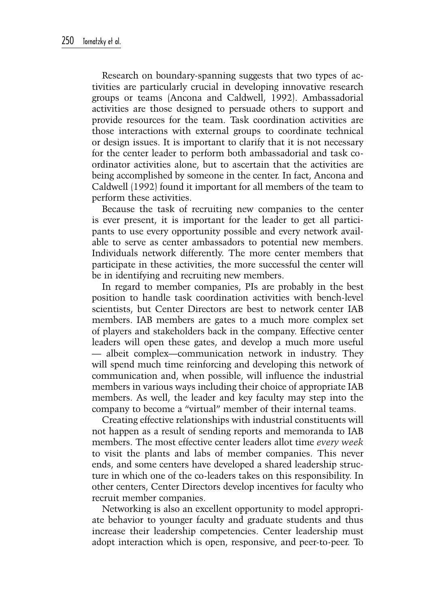Research on boundary-spanning suggests that two types of activities are particularly crucial in developing innovative research groups or teams (Ancona and Caldwell, 1992). Ambassadorial activities are those designed to persuade others to support and provide resources for the team. Task coordination activities are those interactions with external groups to coordinate technical or design issues. It is important to clarify that it is not necessary for the center leader to perform both ambassadorial and task coordinator activities alone, but to ascertain that the activities are being accomplished by someone in the center. In fact, Ancona and Caldwell (1992) found it important for all members of the team to perform these activities.

Because the task of recruiting new companies to the center is ever present, it is important for the leader to get all participants to use every opportunity possible and every network available to serve as center ambassadors to potential new members. Individuals network differently. The more center members that participate in these activities, the more successful the center will be in identifying and recruiting new members.

In regard to member companies, PIs are probably in the best position to handle task coordination activities with bench-level scientists, but Center Directors are best to network center IAB members. IAB members are gates to a much more complex set of players and stakeholders back in the company. Effective center leaders will open these gates, and develop a much more useful — albeit complex—communication network in industry. They will spend much time reinforcing and developing this network of communication and, when possible, will influence the industrial members in various ways including their choice of appropriate IAB members. As well, the leader and key faculty may step into the company to become a "virtual" member of their internal teams.

Creating effective relationships with industrial constituents will not happen as a result of sending reports and memoranda to IAB members. The most effective center leaders allot time *every week* to visit the plants and labs of member companies. This never ends, and some centers have developed a shared leadership structure in which one of the co-leaders takes on this responsibility. In other centers, Center Directors develop incentives for faculty who recruit member companies.

Networking is also an excellent opportunity to model appropriate behavior to younger faculty and graduate students and thus increase their leadership competencies. Center leadership must adopt interaction which is open, responsive, and peer-to-peer. To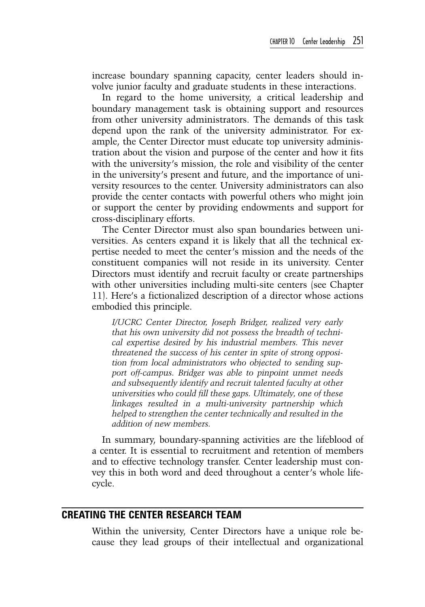increase boundary spanning capacity, center leaders should involve junior faculty and graduate students in these interactions.

In regard to the home university, a critical leadership and boundary management task is obtaining support and resources from other university administrators. The demands of this task depend upon the rank of the university administrator. For example, the Center Director must educate top university administration about the vision and purpose of the center and how it fits with the university's mission, the role and visibility of the center in the university's present and future, and the importance of university resources to the center. University administrators can also provide the center contacts with powerful others who might join or support the center by providing endowments and support for cross-disciplinary efforts.

The Center Director must also span boundaries between universities. As centers expand it is likely that all the technical expertise needed to meet the center's mission and the needs of the constituent companies will not reside in its university. Center Directors must identify and recruit faculty or create partnerships with other universities including multi-site centers (see Chapter 11). Here's a fictionalized description of a director whose actions embodied this principle.

*I/UCRC Center Director, Joseph Bridger, realized very early that his own university did not possess the breadth of technical expertise desired by his industrial members. This never threatened the success of his center in spite of strong opposition from local administrators who objected to sending support off-campus. Bridger was able to pinpoint unmet needs and subsequently identify and recruit talented faculty at other universities who could fill these gaps. Ultimately, one of these linkages resulted in a multi-university partnership which helped to strengthen the center technically and resulted in the addition of new members.*

In summary, boundary-spanning activities are the lifeblood of a center. It is essential to recruitment and retention of members and to effective technology transfer. Center leadership must convey this in both word and deed throughout a center's whole lifecycle.

#### **Creating the Center Research Team**

Within the university, Center Directors have a unique role because they lead groups of their intellectual and organizational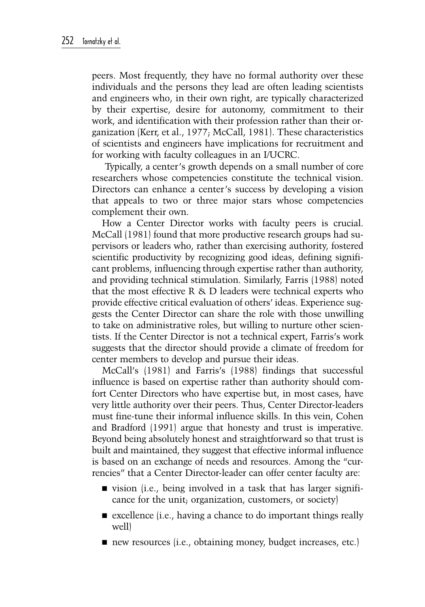peers. Most frequently, they have no formal authority over these individuals and the persons they lead are often leading scientists and engineers who, in their own right, are typically characterized by their expertise, desire for autonomy, commitment to their work, and identification with their profession rather than their organization (Kerr, et al., 1977; McCall, 1981). These characteristics of scientists and engineers have implications for recruitment and for working with faculty colleagues in an I/UCRC.

 Typically, a center's growth depends on a small number of core researchers whose competencies constitute the technical vision. Directors can enhance a center's success by developing a vision that appeals to two or three major stars whose competencies complement their own.

How a Center Director works with faculty peers is crucial. McCall (1981) found that more productive research groups had supervisors or leaders who, rather than exercising authority, fostered scientific productivity by recognizing good ideas, defining significant problems, influencing through expertise rather than authority, and providing technical stimulation. Similarly, Farris (1988) noted that the most effective R & D leaders were technical experts who provide effective critical evaluation of others' ideas. Experience suggests the Center Director can share the role with those unwilling to take on administrative roles, but willing to nurture other scientists. If the Center Director is not a technical expert, Farris's work suggests that the director should provide a climate of freedom for center members to develop and pursue their ideas.

McCall's (1981) and Farris's (1988) findings that successful influence is based on expertise rather than authority should comfort Center Directors who have expertise but, in most cases, have very little authority over their peers. Thus, Center Director-leaders must fine-tune their informal influence skills. In this vein, Cohen and Bradford (1991) argue that honesty and trust is imperative. Beyond being absolutely honest and straightforward so that trust is built and maintained, they suggest that effective informal influence is based on an exchange of needs and resources. Among the "currencies" that a Center Director-leader can offer center faculty are:

- vision (i.e., being involved in a task that has larger significance for the unit; organization, customers, or society)
- $\blacksquare$  excellence (i.e., having a chance to do important things really well)
- new resources (i.e., obtaining money, budget increases, etc.)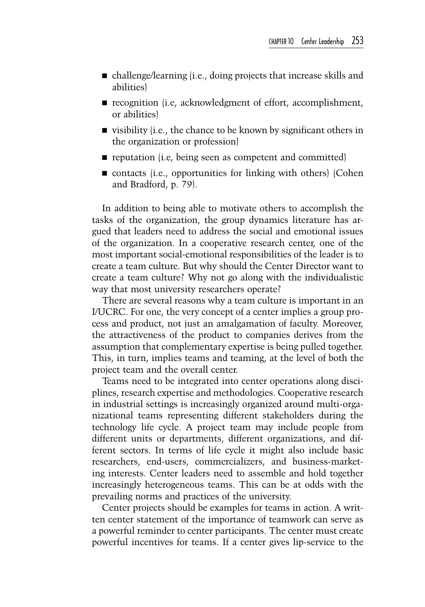- challenge/learning (i.e., doing projects that increase skills and abilities)
- recognition (i.e, acknowledgment of effort, accomplishment, or abilities)
- visibility (i.e., the chance to be known by significant others in the organization or profession)
- reputation (i.e, being seen as competent and committed)
- $\blacksquare$  contacts (i.e., opportunities for linking with others) (Cohen and Bradford, p. 79).

In addition to being able to motivate others to accomplish the tasks of the organization, the group dynamics literature has argued that leaders need to address the social and emotional issues of the organization. In a cooperative research center, one of the most important social-emotional responsibilities of the leader is to create a team culture. But why should the Center Director want to create a team culture? Why not go along with the individualistic way that most university researchers operate?

There are several reasons why a team culture is important in an I/UCRC. For one, the very concept of a center implies a group process and product, not just an amalgamation of faculty. Moreover, the attractiveness of the product to companies derives from the assumption that complementary expertise is being pulled together. This, in turn, implies teams and teaming, at the level of both the project team and the overall center.

Teams need to be integrated into center operations along disciplines, research expertise and methodologies. Cooperative research in industrial settings is increasingly organized around multi-organizational teams representing different stakeholders during the technology life cycle. A project team may include people from different units or departments, different organizations, and different sectors. In terms of life cycle it might also include basic researchers, end-users, commercializers, and business-marketing interests. Center leaders need to assemble and hold together increasingly heterogeneous teams. This can be at odds with the prevailing norms and practices of the university.

Center projects should be examples for teams in action. A written center statement of the importance of teamwork can serve as a powerful reminder to center participants. The center must create powerful incentives for teams. If a center gives lip-service to the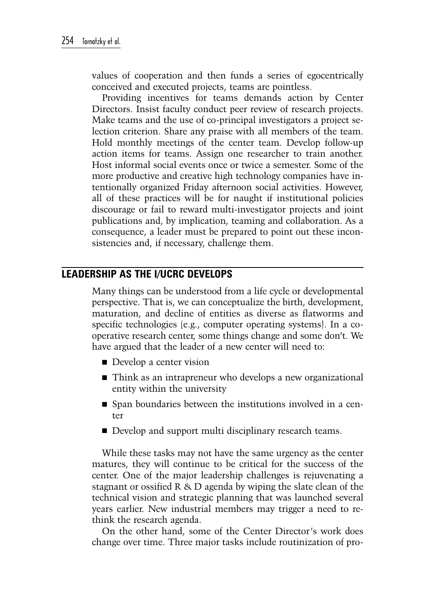values of cooperation and then funds a series of egocentrically conceived and executed projects, teams are pointless.

Providing incentives for teams demands action by Center Directors. Insist faculty conduct peer review of research projects. Make teams and the use of co-principal investigators a project selection criterion. Share any praise with all members of the team. Hold monthly meetings of the center team. Develop follow-up action items for teams. Assign one researcher to train another. Host informal social events once or twice a semester. Some of the more productive and creative high technology companies have intentionally organized Friday afternoon social activities. However, all of these practices will be for naught if institutional policies discourage or fail to reward multi-investigator projects and joint publications and, by implication, teaming and collaboration. As a consequence, a leader must be prepared to point out these inconsistencies and, if necessary, challenge them.

## **Leadership As the I/UCRC Develops**

Many things can be understood from a life cycle or developmental perspective. That is, we can conceptualize the birth, development, maturation, and decline of entities as diverse as flatworms and specific technologies (e.g., computer operating systems). In a cooperative research center, some things change and some don't. We have argued that the leader of a new center will need to:

- Develop a center vision
- Think as an intrapreneur who develops a new organizational entity within the university
- Span boundaries between the institutions involved in a center
- Develop and support multi disciplinary research teams.

While these tasks may not have the same urgency as the center matures, they will continue to be critical for the success of the center. One of the major leadership challenges is rejuvenating a stagnant or ossified R & D agenda by wiping the slate clean of the technical vision and strategic planning that was launched several years earlier. New industrial members may trigger a need to rethink the research agenda.

On the other hand, some of the Center Director's work does change over time. Three major tasks include routinization of pro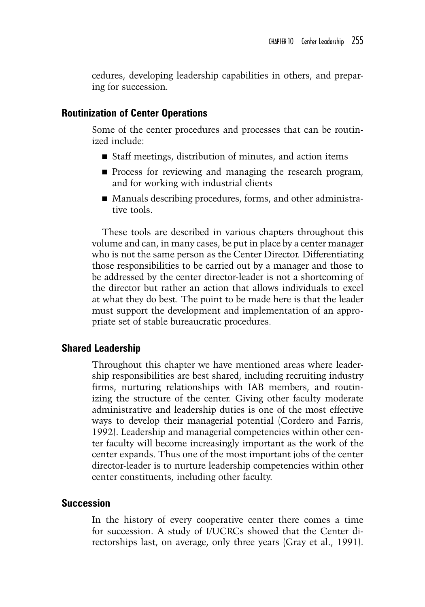cedures, developing leadership capabilities in others, and preparing for succession.

## **Routinization of Center Operations**

Some of the center procedures and processes that can be routinized include:

- Staff meetings, distribution of minutes, and action items
- **Process for reviewing and managing the research program,** and for working with industrial clients
- Manuals describing procedures, forms, and other administrative tools.

These tools are described in various chapters throughout this volume and can, in many cases, be put in place by a center manager who is not the same person as the Center Director. Differentiating those responsibilities to be carried out by a manager and those to be addressed by the center director-leader is not a shortcoming of the director but rather an action that allows individuals to excel at what they do best. The point to be made here is that the leader must support the development and implementation of an appropriate set of stable bureaucratic procedures.

## **Shared Leadership**

Throughout this chapter we have mentioned areas where leadership responsibilities are best shared, including recruiting industry firms, nurturing relationships with IAB members, and routinizing the structure of the center. Giving other faculty moderate administrative and leadership duties is one of the most effective ways to develop their managerial potential (Cordero and Farris, 1992). Leadership and managerial competencies within other center faculty will become increasingly important as the work of the center expands. Thus one of the most important jobs of the center director-leader is to nurture leadership competencies within other center constituents, including other faculty.

#### **Succession**

In the history of every cooperative center there comes a time for succession. A study of I/UCRCs showed that the Center directorships last, on average, only three years (Gray et al., 1991).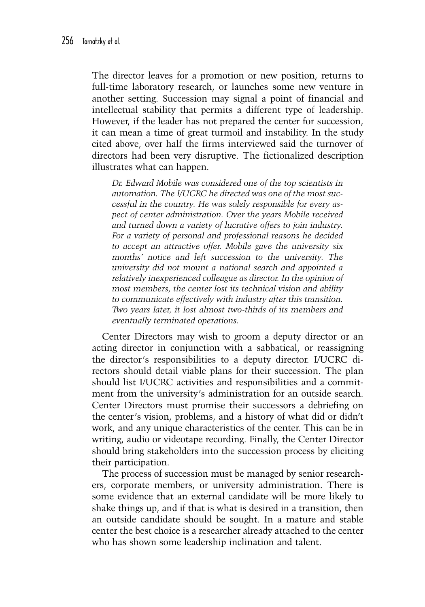The director leaves for a promotion or new position, returns to full-time laboratory research, or launches some new venture in another setting. Succession may signal a point of financial and intellectual stability that permits a different type of leadership. However, if the leader has not prepared the center for succession, it can mean a time of great turmoil and instability. In the study cited above, over half the firms interviewed said the turnover of directors had been very disruptive. The fictionalized description illustrates what can happen.

*Dr. Edward Mobile was considered one of the top scientists in automation. The I/UCRC he directed was one of the most successful in the country. He was solely responsible for every aspect of center administration. Over the years Mobile received and turned down a variety of lucrative offers to join industry. For a variety of personal and professional reasons he decided to accept an attractive offer. Mobile gave the university six months' notice and left succession to the university. The university did not mount a national search and appointed a relatively inexperienced colleague as director. In the opinion of most members, the center lost its technical vision and ability to communicate effectively with industry after this transition. Two years later, it lost almost two-thirds of its members and eventually terminated operations.*

Center Directors may wish to groom a deputy director or an acting director in conjunction with a sabbatical, or reassigning the director's responsibilities to a deputy director. I/UCRC directors should detail viable plans for their succession. The plan should list I/UCRC activities and responsibilities and a commitment from the university's administration for an outside search. Center Directors must promise their successors a debriefing on the center's vision, problems, and a history of what did or didn't work, and any unique characteristics of the center. This can be in writing, audio or videotape recording. Finally, the Center Director should bring stakeholders into the succession process by eliciting their participation.

The process of succession must be managed by senior researchers, corporate members, or university administration. There is some evidence that an external candidate will be more likely to shake things up, and if that is what is desired in a transition, then an outside candidate should be sought. In a mature and stable center the best choice is a researcher already attached to the center who has shown some leadership inclination and talent.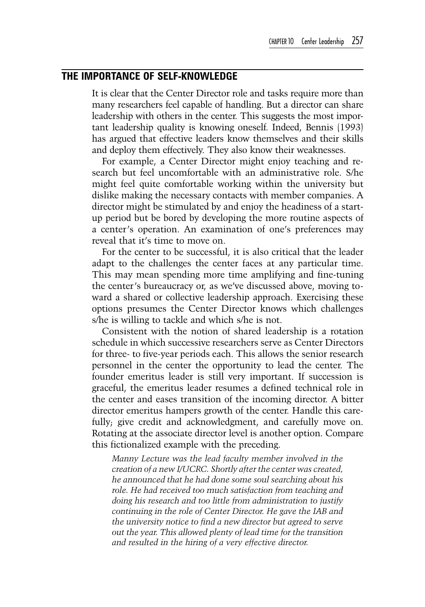## **The Importance of Self-Knowledge**

It is clear that the Center Director role and tasks require more than many researchers feel capable of handling. But a director can share leadership with others in the center. This suggests the most important leadership quality is knowing oneself. Indeed, Bennis (1993) has argued that effective leaders know themselves and their skills and deploy them effectively. They also know their weaknesses.

For example, a Center Director might enjoy teaching and research but feel uncomfortable with an administrative role. S/he might feel quite comfortable working within the university but dislike making the necessary contacts with member companies. A director might be stimulated by and enjoy the headiness of a startup period but be bored by developing the more routine aspects of a center's operation. An examination of one's preferences may reveal that it's time to move on.

For the center to be successful, it is also critical that the leader adapt to the challenges the center faces at any particular time. This may mean spending more time amplifying and fine-tuning the center's bureaucracy or, as we've discussed above, moving toward a shared or collective leadership approach. Exercising these options presumes the Center Director knows which challenges s/he is willing to tackle and which s/he is not.

Consistent with the notion of shared leadership is a rotation schedule in which successive researchers serve as Center Directors for three- to five-year periods each. This allows the senior research personnel in the center the opportunity to lead the center. The founder emeritus leader is still very important. If succession is graceful, the emeritus leader resumes a defined technical role in the center and eases transition of the incoming director. A bitter director emeritus hampers growth of the center. Handle this carefully; give credit and acknowledgment, and carefully move on. Rotating at the associate director level is another option. Compare this fictionalized example with the preceding.

*Manny Lecture was the lead faculty member involved in the creation of a new I/UCRC. Shortly after the center was created, he announced that he had done some soul searching about his role. He had received too much satisfaction from teaching and doing his research and too little from administration to justify continuing in the role of Center Director. He gave the IAB and the university notice to find a new director but agreed to serve out the year. This allowed plenty of lead time for the transition and resulted in the hiring of a very effective director.*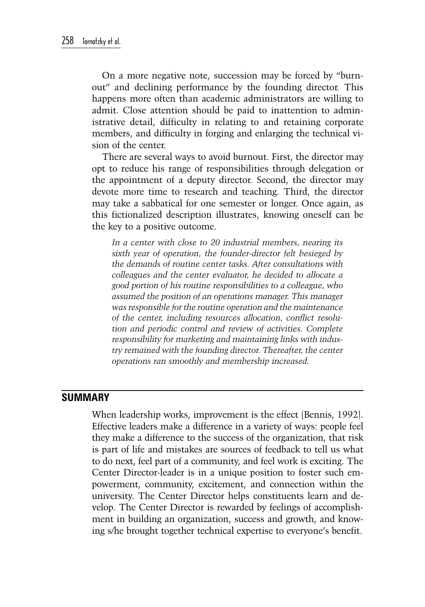On a more negative note, succession may be forced by "burnout" and declining performance by the founding director. This happens more often than academic administrators are willing to admit. Close attention should be paid to inattention to administrative detail, difficulty in relating to and retaining corporate members, and difficulty in forging and enlarging the technical vision of the center.

There are several ways to avoid burnout. First, the director may opt to reduce his range of responsibilities through delegation or the appointment of a deputy director. Second, the director may devote more time to research and teaching. Third, the director may take a sabbatical for one semester or longer. Once again, as this fictionalized description illustrates, knowing oneself can be the key to a positive outcome.

*In a center with close to 20 industrial members, nearing its sixth year of operation, the founder-director felt besieged by the demands of routine center tasks. After consultations with colleagues and the center evaluator, he decided to allocate a good portion of his routine responsibilities to a colleague, who assumed the position of an operations manager. This manager was responsible for the routine operation and the maintenance of the center, including resources allocation, conflict resolution and periodic control and review of activities. Complete responsibility for marketing and maintaining links with industry remained with the founding director. Thereafter, the center operations ran smoothly and membership increased.*

# **Summary**

When leadership works, improvement is the effect (Bennis, 1992). Effective leaders make a difference in a variety of ways: people feel they make a difference to the success of the organization, that risk is part of life and mistakes are sources of feedback to tell us what to do next, feel part of a community, and feel work is exciting. The Center Director-leader is in a unique position to foster such empowerment, community, excitement, and connection within the university. The Center Director helps constituents learn and develop. The Center Director is rewarded by feelings of accomplishment in building an organization, success and growth, and knowing s/he brought together technical expertise to everyone's benefit.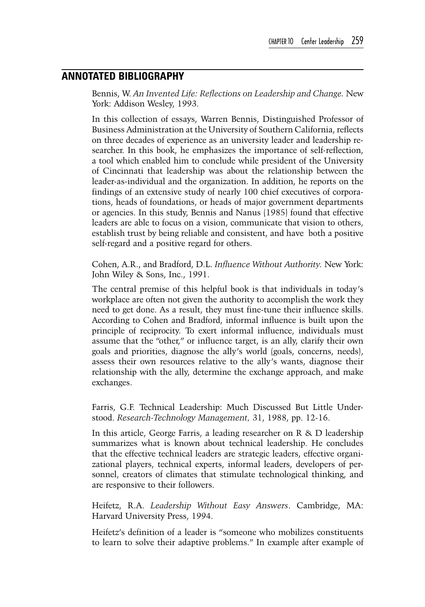#### **Annotated Bibliography**

Bennis, W. *An Invented Life: Reflections on Leadership and Change.* New York: Addison Wesley, 1993.

In this collection of essays, Warren Bennis, Distinguished Professor of Business Administration at the University of Southern California, reflects on three decades of experience as an university leader and leadership researcher. In this book, he emphasizes the importance of self-reflection, a tool which enabled him to conclude while president of the University of Cincinnati that leadership was about the relationship between the leader-as-individual and the organization. In addition, he reports on the findings of an extensive study of nearly 100 chief executives of corporations, heads of foundations, or heads of major government departments or agencies. In this study, Bennis and Nanus (1985) found that effective leaders are able to focus on a vision, communicate that vision to others, establish trust by being reliable and consistent, and have both a positive self-regard and a positive regard for others.

Cohen, A.R., and Bradford, D.L. *Influence Without Authority.* New York: John Wiley & Sons, Inc., 1991.

The central premise of this helpful book is that individuals in today's workplace are often not given the authority to accomplish the work they need to get done. As a result, they must fine-tune their influence skills. According to Cohen and Bradford, informal influence is built upon the principle of reciprocity. To exert informal influence, individuals must assume that the "other," or influence target, is an ally, clarify their own goals and priorities, diagnose the ally's world (goals, concerns, needs), assess their own resources relative to the ally's wants, diagnose their relationship with the ally, determine the exchange approach, and make exchanges.

Farris, G.F. Technical Leadership: Much Discussed But Little Understood. *Research-Technology Management,* 31, 1988, pp. 12-16.

In this article, George Farris, a leading researcher on R & D leadership summarizes what is known about technical leadership. He concludes that the effective technical leaders are strategic leaders, effective organizational players, technical experts, informal leaders, developers of personnel, creators of climates that stimulate technological thinking, and are responsive to their followers.

Heifetz, R.A. *Leadership Without Easy Answers*. Cambridge, MA: Harvard University Press, 1994.

Heifetz's definition of a leader is "someone who mobilizes constituents to learn to solve their adaptive problems." In example after example of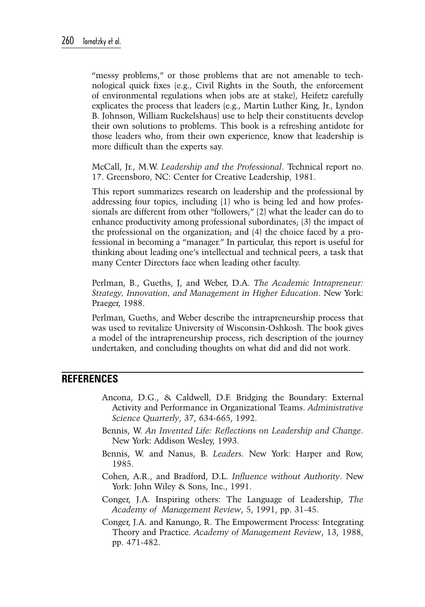"messy problems," or those problems that are not amenable to technological quick fixes (e.g., Civil Rights in the South, the enforcement of environmental regulations when jobs are at stake), Heifetz carefully explicates the process that leaders (e.g., Martin Luther King, Jr., Lyndon B. Johnson, William Ruckelshaus) use to help their constituents develop their own solutions to problems. This book is a refreshing antidote for those leaders who, from their own experience, know that leadership is more difficult than the experts say.

McCall, Jr., M.W. *Leadership and the Professional*. Technical report no. 17. Greensboro, NC: Center for Creative Leadership, 1981.

This report summarizes research on leadership and the professional by addressing four topics, including (1) who is being led and how professionals are different from other "followers;" (2) what the leader can do to enhance productivity among professional subordinates; (3) the impact of the professional on the organization; and (4) the choice faced by a professional in becoming a "manager." In particular, this report is useful for thinking about leading one's intellectual and technical peers, a task that many Center Directors face when leading other faculty.

Perlman, B., Gueths, J, and Weber, D.A. *The Academic Intrapreneur: Strategy, Innovation, and Management in Higher Education*. New York: Praeger, 1988.

Perlman, Gueths, and Weber describe the intrapreneurship process that was used to revitalize University of Wisconsin-Oshkosh. The book gives a model of the intrapreneurship process, rich description of the journey undertaken, and concluding thoughts on what did and did not work.

## **References**

- Ancona, D.G., & Caldwell, D.F. Bridging the Boundary: External Activity and Performance in Organizational Teams. *Administrative Science Quarterly*, 37, 634-665, 1992.
- Bennis, W. *An Invented Life: Reflections on Leadership and Change*. New York: Addison Wesley, 1993.
- Bennis, W. and Nanus, B. *Leaders.* New York: Harper and Row, 1985.
- Cohen, A.R., and Bradford, D.L. *Influence without Authority*. New York: John Wiley & Sons, Inc., 1991.
- Conger, J.A. Inspiring others: The Language of Leadership, *The Academy of Management Review*, 5, 1991, pp. 31-45.
- Conger, J.A. and Kanungo, R. The Empowerment Process: Integrating Theory and Practice. *Academy of Management Review*, 13, 1988, pp. 471-482.